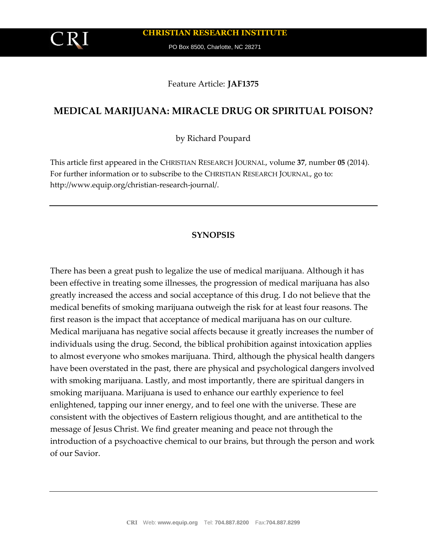**CHRISTIAN RESEARCH INSTITUTE**

PO Box 8500, Charlotte, NC 28271

Feature Article: **JAF1375**

# **MEDICAL MARIJUANA: MIRACLE DRUG OR SPIRITUAL POISON?**

by Richard Poupard

This article first appeared in the CHRISTIAN RESEARCH JOURNAL, volume **37**, number **05** (2014). For further information or to subscribe to the CHRISTIAN RESEARCH JOURNAL, go to: http://www.equip.org/christian-research-journal/.

## **SYNOPSIS**

There has been a great push to legalize the use of medical marijuana. Although it has been effective in treating some illnesses, the progression of medical marijuana has also greatly increased the access and social acceptance of this drug. I do not believe that the medical benefits of smoking marijuana outweigh the risk for at least four reasons. The first reason is the impact that acceptance of medical marijuana has on our culture. Medical marijuana has negative social affects because it greatly increases the number of individuals using the drug. Second, the biblical prohibition against intoxication applies to almost everyone who smokes marijuana. Third, although the physical health dangers have been overstated in the past, there are physical and psychological dangers involved with smoking marijuana. Lastly, and most importantly, there are spiritual dangers in smoking marijuana. Marijuana is used to enhance our earthly experience to feel enlightened, tapping our inner energy, and to feel one with the universe. These are consistent with the objectives of Eastern religious thought, and are antithetical to the message of Jesus Christ. We find greater meaning and peace not through the introduction of a psychoactive chemical to our brains, but through the person and work of our Savior.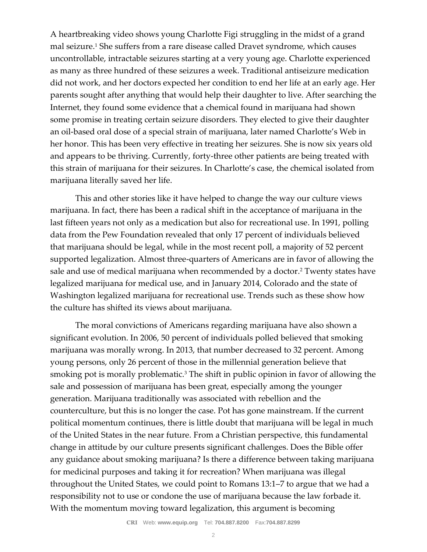A heartbreaking video shows young Charlotte Figi struggling in the midst of a grand mal seizure.<sup>1</sup> She suffers from a rare disease called Dravet syndrome, which causes uncontrollable, intractable seizures starting at a very young age. Charlotte experienced as many as three hundred of these seizures a week. Traditional antiseizure medication did not work, and her doctors expected her condition to end her life at an early age. Her parents sought after anything that would help their daughter to live. After searching the Internet, they found some evidence that a chemical found in marijuana had shown some promise in treating certain seizure disorders. They elected to give their daughter an oil-based oral dose of a special strain of marijuana, later named Charlotte's Web in her honor. This has been very effective in treating her seizures. She is now six years old and appears to be thriving. Currently, forty-three other patients are being treated with this strain of marijuana for their seizures. In Charlotte's case, the chemical isolated from marijuana literally saved her life.

This and other stories like it have helped to change the way our culture views marijuana. In fact, there has been a radical shift in the acceptance of marijuana in the last fifteen years not only as a medication but also for recreational use. In 1991, polling data from the Pew Foundation revealed that only 17 percent of individuals believed that marijuana should be legal, while in the most recent poll, a majority of 52 percent supported legalization. Almost three-quarters of Americans are in favor of allowing the sale and use of medical marijuana when recommended by a doctor.<sup>2</sup> Twenty states have legalized marijuana for medical use, and in January 2014, Colorado and the state of Washington legalized marijuana for recreational use. Trends such as these show how the culture has shifted its views about marijuana.

The moral convictions of Americans regarding marijuana have also shown a significant evolution. In 2006, 50 percent of individuals polled believed that smoking marijuana was morally wrong. In 2013, that number decreased to 32 percent. Among young persons, only 26 percent of those in the millennial generation believe that smoking pot is morally problematic.<sup>3</sup> The shift in public opinion in favor of allowing the sale and possession of marijuana has been great, especially among the younger generation. Marijuana traditionally was associated with rebellion and the counterculture, but this is no longer the case. Pot has gone mainstream. If the current political momentum continues, there is little doubt that marijuana will be legal in much of the United States in the near future. From a Christian perspective, this fundamental change in attitude by our culture presents significant challenges. Does the Bible offer any guidance about smoking marijuana? Is there a difference between taking marijuana for medicinal purposes and taking it for recreation? When marijuana was illegal throughout the United States, we could point to Romans 13:1–7 to argue that we had a responsibility not to use or condone the use of marijuana because the law forbade it. With the momentum moving toward legalization, this argument is becoming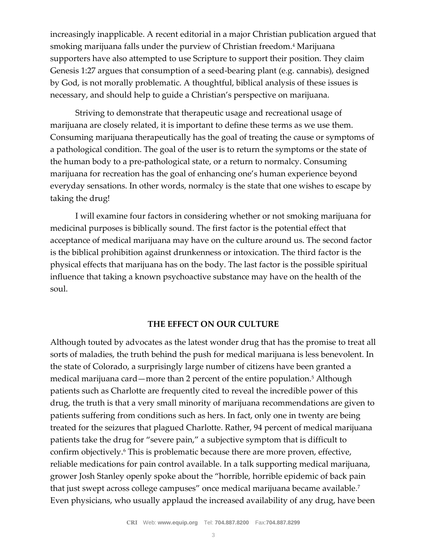increasingly inapplicable. A recent editorial in a major Christian publication argued that smoking marijuana falls under the purview of Christian freedom.<sup>4</sup> Marijuana supporters have also attempted to use Scripture to support their position. They claim Genesis 1:27 argues that consumption of a seed-bearing plant (e.g. cannabis), designed by God, is not morally problematic. A thoughtful, biblical analysis of these issues is necessary, and should help to guide a Christian's perspective on marijuana.

Striving to demonstrate that therapeutic usage and recreational usage of marijuana are closely related, it is important to define these terms as we use them. Consuming marijuana therapeutically has the goal of treating the cause or symptoms of a pathological condition. The goal of the user is to return the symptoms or the state of the human body to a pre-pathological state, or a return to normalcy. Consuming marijuana for recreation has the goal of enhancing one's human experience beyond everyday sensations. In other words, normalcy is the state that one wishes to escape by taking the drug!

I will examine four factors in considering whether or not smoking marijuana for medicinal purposes is biblically sound. The first factor is the potential effect that acceptance of medical marijuana may have on the culture around us. The second factor is the biblical prohibition against drunkenness or intoxication. The third factor is the physical effects that marijuana has on the body. The last factor is the possible spiritual influence that taking a known psychoactive substance may have on the health of the soul.

## **THE EFFECT ON OUR CULTURE**

Although touted by advocates as the latest wonder drug that has the promise to treat all sorts of maladies, the truth behind the push for medical marijuana is less benevolent. In the state of Colorado, a surprisingly large number of citizens have been granted a medical marijuana card—more than 2 percent of the entire population.<sup>5</sup> Although patients such as Charlotte are frequently cited to reveal the incredible power of this drug, the truth is that a very small minority of marijuana recommendations are given to patients suffering from conditions such as hers. In fact, only one in twenty are being treated for the seizures that plagued Charlotte. Rather, 94 percent of medical marijuana patients take the drug for "severe pain," a subjective symptom that is difficult to confirm objectively.<sup>6</sup> This is problematic because there are more proven, effective, reliable medications for pain control available. In a talk supporting medical marijuana, grower Josh Stanley openly spoke about the "horrible, horrible epidemic of back pain that just swept across college campuses" once medical marijuana became available.<sup>7</sup> Even physicians, who usually applaud the increased availability of any drug, have been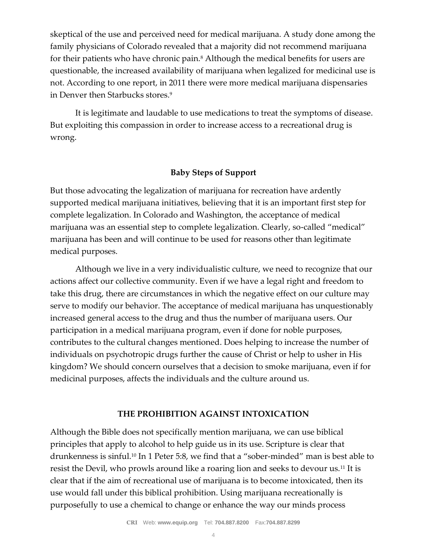skeptical of the use and perceived need for medical marijuana. A study done among the family physicians of Colorado revealed that a majority did not recommend marijuana for their patients who have chronic pain.<sup>8</sup> Although the medical benefits for users are questionable, the increased availability of marijuana when legalized for medicinal use is not. According to one report, in 2011 there were more medical marijuana dispensaries in Denver then Starbucks stores.<sup>9</sup>

It is legitimate and laudable to use medications to treat the symptoms of disease. But exploiting this compassion in order to increase access to a recreational drug is wrong.

## **Baby Steps of Support**

But those advocating the legalization of marijuana for recreation have ardently supported medical marijuana initiatives, believing that it is an important first step for complete legalization. In Colorado and Washington, the acceptance of medical marijuana was an essential step to complete legalization. Clearly, so-called "medical" marijuana has been and will continue to be used for reasons other than legitimate medical purposes.

Although we live in a very individualistic culture, we need to recognize that our actions affect our collective community. Even if we have a legal right and freedom to take this drug, there are circumstances in which the negative effect on our culture may serve to modify our behavior. The acceptance of medical marijuana has unquestionably increased general access to the drug and thus the number of marijuana users. Our participation in a medical marijuana program, even if done for noble purposes, contributes to the cultural changes mentioned. Does helping to increase the number of individuals on psychotropic drugs further the cause of Christ or help to usher in His kingdom? We should concern ourselves that a decision to smoke marijuana, even if for medicinal purposes, affects the individuals and the culture around us.

## **THE PROHIBITION AGAINST INTOXICATION**

Although the Bible does not specifically mention marijuana, we can use biblical principles that apply to alcohol to help guide us in its use. Scripture is clear that drunkenness is sinful.<sup>10</sup> In 1 Peter 5:8, we find that a "sober-minded" man is best able to resist the Devil, who prowls around like a roaring lion and seeks to devour us.<sup>11</sup> It is clear that if the aim of recreational use of marijuana is to become intoxicated, then its use would fall under this biblical prohibition. Using marijuana recreationally is purposefully to use a chemical to change or enhance the way our minds process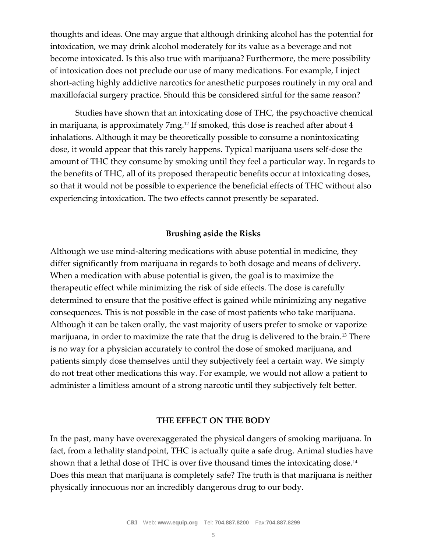thoughts and ideas. One may argue that although drinking alcohol has the potential for intoxication, we may drink alcohol moderately for its value as a beverage and not become intoxicated. Is this also true with marijuana? Furthermore, the mere possibility of intoxication does not preclude our use of many medications. For example, I inject short-acting highly addictive narcotics for anesthetic purposes routinely in my oral and maxillofacial surgery practice. Should this be considered sinful for the same reason?

Studies have shown that an intoxicating dose of THC, the psychoactive chemical in marijuana, is approximately 7mg.<sup>12</sup> If smoked, this dose is reached after about 4 inhalations. Although it may be theoretically possible to consume a nonintoxicating dose, it would appear that this rarely happens. Typical marijuana users self-dose the amount of THC they consume by smoking until they feel a particular way. In regards to the benefits of THC, all of its proposed therapeutic benefits occur at intoxicating doses, so that it would not be possible to experience the beneficial effects of THC without also experiencing intoxication. The two effects cannot presently be separated.

## **Brushing aside the Risks**

Although we use mind-altering medications with abuse potential in medicine, they differ significantly from marijuana in regards to both dosage and means of delivery. When a medication with abuse potential is given, the goal is to maximize the therapeutic effect while minimizing the risk of side effects. The dose is carefully determined to ensure that the positive effect is gained while minimizing any negative consequences. This is not possible in the case of most patients who take marijuana. Although it can be taken orally, the vast majority of users prefer to smoke or vaporize marijuana, in order to maximize the rate that the drug is delivered to the brain.<sup>13</sup> There is no way for a physician accurately to control the dose of smoked marijuana, and patients simply dose themselves until they subjectively feel a certain way. We simply do not treat other medications this way. For example, we would not allow a patient to administer a limitless amount of a strong narcotic until they subjectively felt better.

#### **THE EFFECT ON THE BODY**

In the past, many have overexaggerated the physical dangers of smoking marijuana. In fact, from a lethality standpoint, THC is actually quite a safe drug. Animal studies have shown that a lethal dose of THC is over five thousand times the intoxicating dose.<sup>14</sup> Does this mean that marijuana is completely safe? The truth is that marijuana is neither physically innocuous nor an incredibly dangerous drug to our body.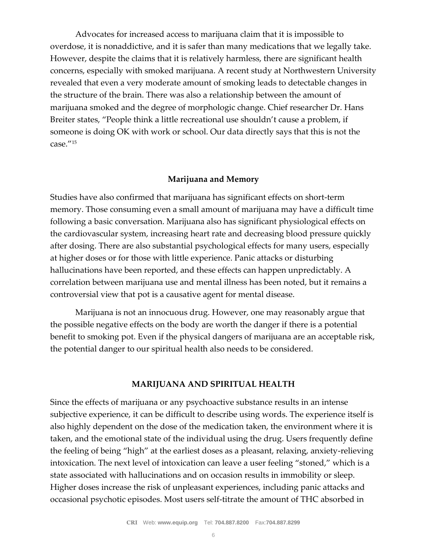Advocates for increased access to marijuana claim that it is impossible to overdose, it is nonaddictive, and it is safer than many medications that we legally take. However, despite the claims that it is relatively harmless, there are significant health concerns, especially with smoked marijuana. A recent study at Northwestern University revealed that even a very moderate amount of smoking leads to detectable changes in the structure of the brain. There was also a relationship between the amount of marijuana smoked and the degree of morphologic change. Chief researcher Dr. Hans Breiter states, "People think a little recreational use shouldn't cause a problem, if someone is doing OK with work or school. Our data directly says that this is not the case."<sup>15</sup>

### **Marijuana and Memory**

Studies have also confirmed that marijuana has significant effects on short-term memory. Those consuming even a small amount of marijuana may have a difficult time following a basic conversation. Marijuana also has significant physiological effects on the cardiovascular system, increasing heart rate and decreasing blood pressure quickly after dosing. There are also substantial psychological effects for many users, especially at higher doses or for those with little experience. Panic attacks or disturbing hallucinations have been reported, and these effects can happen unpredictably. A correlation between marijuana use and mental illness has been noted, but it remains a controversial view that pot is a causative agent for mental disease.

Marijuana is not an innocuous drug. However, one may reasonably argue that the possible negative effects on the body are worth the danger if there is a potential benefit to smoking pot. Even if the physical dangers of marijuana are an acceptable risk, the potential danger to our spiritual health also needs to be considered.

### **MARIJUANA AND SPIRITUAL HEALTH**

Since the effects of marijuana or any psychoactive substance results in an intense subjective experience, it can be difficult to describe using words. The experience itself is also highly dependent on the dose of the medication taken, the environment where it is taken, and the emotional state of the individual using the drug. Users frequently define the feeling of being "high" at the earliest doses as a pleasant, relaxing, anxiety-relieving intoxication. The next level of intoxication can leave a user feeling "stoned," which is a state associated with hallucinations and on occasion results in immobility or sleep. Higher doses increase the risk of unpleasant experiences, including panic attacks and occasional psychotic episodes. Most users self-titrate the amount of THC absorbed in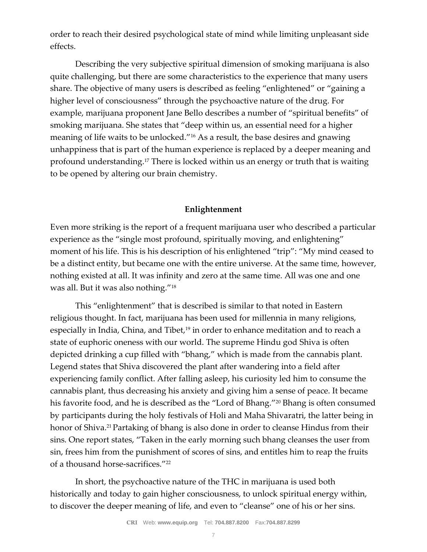order to reach their desired psychological state of mind while limiting unpleasant side effects.

Describing the very subjective spiritual dimension of smoking marijuana is also quite challenging, but there are some characteristics to the experience that many users share. The objective of many users is described as feeling "enlightened" or "gaining a higher level of consciousness" through the psychoactive nature of the drug. For example, marijuana proponent Jane Bello describes a number of "spiritual benefits" of smoking marijuana. She states that "deep within us, an essential need for a higher meaning of life waits to be unlocked."<sup>16</sup> As a result, the base desires and gnawing unhappiness that is part of the human experience is replaced by a deeper meaning and profound understanding.<sup>17</sup> There is locked within us an energy or truth that is waiting to be opened by altering our brain chemistry.

## **Enlightenment**

Even more striking is the report of a frequent marijuana user who described a particular experience as the "single most profound, spiritually moving, and enlightening" moment of his life. This is his description of his enlightened "trip": "My mind ceased to be a distinct entity, but became one with the entire universe. At the same time, however, nothing existed at all. It was infinity and zero at the same time. All was one and one was all. But it was also nothing."<sup>18</sup>

This "enlightenment" that is described is similar to that noted in Eastern religious thought. In fact, marijuana has been used for millennia in many religions, especially in India, China, and Tibet,<sup>19</sup> in order to enhance meditation and to reach a state of euphoric oneness with our world. The supreme Hindu god Shiva is often depicted drinking a cup filled with "bhang," which is made from the cannabis plant. Legend states that Shiva discovered the plant after wandering into a field after experiencing family conflict. After falling asleep, his curiosity led him to consume the cannabis plant, thus decreasing his anxiety and giving him a sense of peace. It became his favorite food, and he is described as the "Lord of Bhang."<sup>20</sup> Bhang is often consumed by participants during the holy festivals of Holi and Maha Shivaratri, the latter being in honor of Shiva.21 Partaking of bhang is also done in order to cleanse Hindus from their sins. One report states, "Taken in the early morning such bhang cleanses the user from sin, frees him from the punishment of scores of sins, and entitles him to reap the fruits of a thousand horse-sacrifices."<sup>22</sup>

In short, the psychoactive nature of the THC in marijuana is used both historically and today to gain higher consciousness, to unlock spiritual energy within, to discover the deeper meaning of life, and even to "cleanse" one of his or her sins.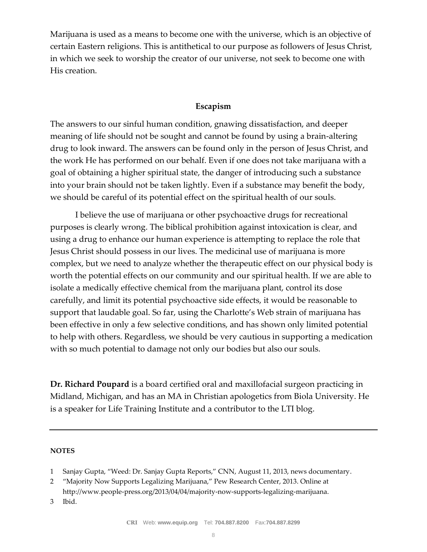Marijuana is used as a means to become one with the universe, which is an objective of certain Eastern religions. This is antithetical to our purpose as followers of Jesus Christ, in which we seek to worship the creator of our universe, not seek to become one with His creation.

## **Escapism**

The answers to our sinful human condition, gnawing dissatisfaction, and deeper meaning of life should not be sought and cannot be found by using a brain-altering drug to look inward. The answers can be found only in the person of Jesus Christ, and the work He has performed on our behalf. Even if one does not take marijuana with a goal of obtaining a higher spiritual state, the danger of introducing such a substance into your brain should not be taken lightly. Even if a substance may benefit the body, we should be careful of its potential effect on the spiritual health of our souls.

I believe the use of marijuana or other psychoactive drugs for recreational purposes is clearly wrong. The biblical prohibition against intoxication is clear, and using a drug to enhance our human experience is attempting to replace the role that Jesus Christ should possess in our lives. The medicinal use of marijuana is more complex, but we need to analyze whether the therapeutic effect on our physical body is worth the potential effects on our community and our spiritual health. If we are able to isolate a medically effective chemical from the marijuana plant, control its dose carefully, and limit its potential psychoactive side effects, it would be reasonable to support that laudable goal. So far, using the Charlotte's Web strain of marijuana has been effective in only a few selective conditions, and has shown only limited potential to help with others. Regardless, we should be very cautious in supporting a medication with so much potential to damage not only our bodies but also our souls.

**Dr. Richard Poupard** is a board certified oral and maxillofacial surgeon practicing in Midland, Michigan, and has an MA in Christian apologetics from Biola University. He is a speaker for Life Training Institute and a contributor to the LTI blog.

#### **NOTES**

- 1 Sanjay Gupta, "Weed: Dr. Sanjay Gupta Reports," CNN, August 11, 2013, news documentary.
- 2 "Majority Now Supports Legalizing Marijuana," Pew Research Center, 2013. Online at http://www.people-press.org/2013/04/04/majority-now-supports-legalizing-marijuana.
- 3 Ibid.